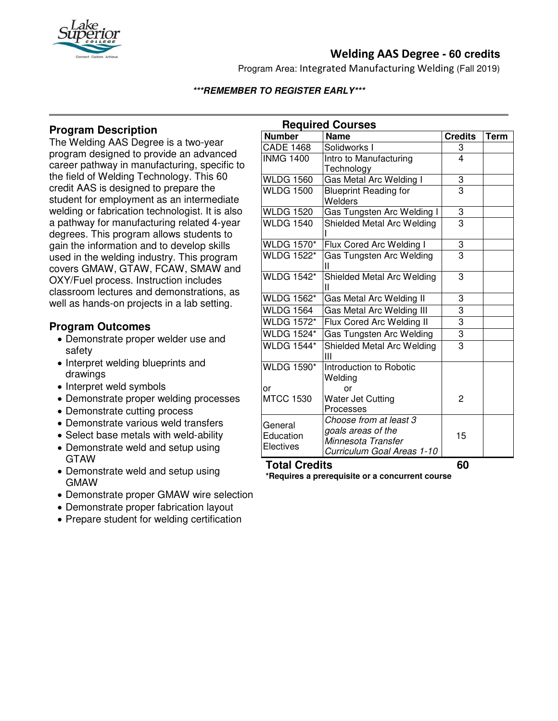

# **Welding AAS Degree - 60 credits**

Program Area: Integrated Manufacturing Welding (Fall 2019)

#### **\*\*\*REMEMBER TO REGISTER EARLY\*\*\***

## **Program Description**

The Welding AAS Degree is a two-year program designed to provide an advanced career pathway in manufacturing, specific to the field of Welding Technology. This 60 credit AAS is designed to prepare the student for employment as an intermediate welding or fabrication technologist. It is also a pathway for manufacturing related 4-year degrees. This program allows students to gain the information and to develop skills used in the welding industry. This program covers GMAW, GTAW, FCAW, SMAW and OXY/Fuel process. Instruction includes classroom lectures and demonstrations, as well as hands-on projects in a lab setting.

## **Program Outcomes**

- Demonstrate proper welder use and safety
- Interpret welding blueprints and drawings
- Interpret weld symbols
- Demonstrate proper welding processes
- Demonstrate cutting process
- Demonstrate various weld transfers
- Select base metals with weld-ability
- Demonstrate weld and setup using GTAW
- Demonstrate weld and setup using GMAW
- Demonstrate proper GMAW wire selection
- Demonstrate proper fabrication layout
- Prepare student for welding certification

| <b>Required Courses</b>           |                                    |                |             |
|-----------------------------------|------------------------------------|----------------|-------------|
| <b>Number</b>                     | <b>Name</b>                        | <b>Credits</b> | <b>Term</b> |
| <b>CADE 1468</b>                  | Solidworks I                       | 3              |             |
| <b>INMG 1400</b>                  | Intro to Manufacturing             | 4              |             |
|                                   | Technology                         |                |             |
| <b>WLDG 1560</b>                  | Gas Metal Arc Welding I            | 3              |             |
| <b>WLDG 1500</b>                  | <b>Blueprint Reading for</b>       | $\overline{3}$ |             |
|                                   | Welders                            |                |             |
| <b>WLDG 1520</b>                  | Gas Tungsten Arc Welding I         | $\overline{3}$ |             |
| <b>WLDG 1540</b>                  | Shielded Metal Arc Welding         | $\frac{1}{3}$  |             |
| <b>WLDG 1570*</b>                 | Flux Cored Arc Welding I           | $\frac{3}{3}$  |             |
| <b>WLDG 1522*</b>                 | Gas Tungsten Arc Welding<br>Ш      |                |             |
| WLDG $1542*$                      | Shielded Metal Arc Welding<br>Ш    | 3              |             |
| <b>WLDG 1562*</b>                 | Gas Metal Arc Welding II           | 3              |             |
| <b>WLDG 1564</b>                  | Gas Metal Arc Welding III          | $\overline{3}$ |             |
| <b>WLDG 1572*</b>                 | Flux Cored Arc Welding II          | 3              |             |
| <b>WLDG 1524*</b>                 | Gas Tungsten Arc Welding           | 3              |             |
| <b>WLDG 1544*</b>                 | Shielded Metal Arc Welding<br>Ш    | 3              |             |
| <b>WLDG 1590*</b>                 | Introduction to Robotic<br>Welding |                |             |
| or                                | or                                 |                |             |
| <b>MTCC 1530</b>                  | Water Jet Cutting                  | 2              |             |
|                                   | Processes                          |                |             |
| General<br>Education<br>Electives | Choose from at least 3             |                |             |
|                                   | goals areas of the                 | 15             |             |
|                                   | Minnesota Transfer                 |                |             |
|                                   | Curriculum Goal Areas 1-10         |                |             |

# **Total Credits 60**

**\*Requires a prerequisite or a concurrent course**